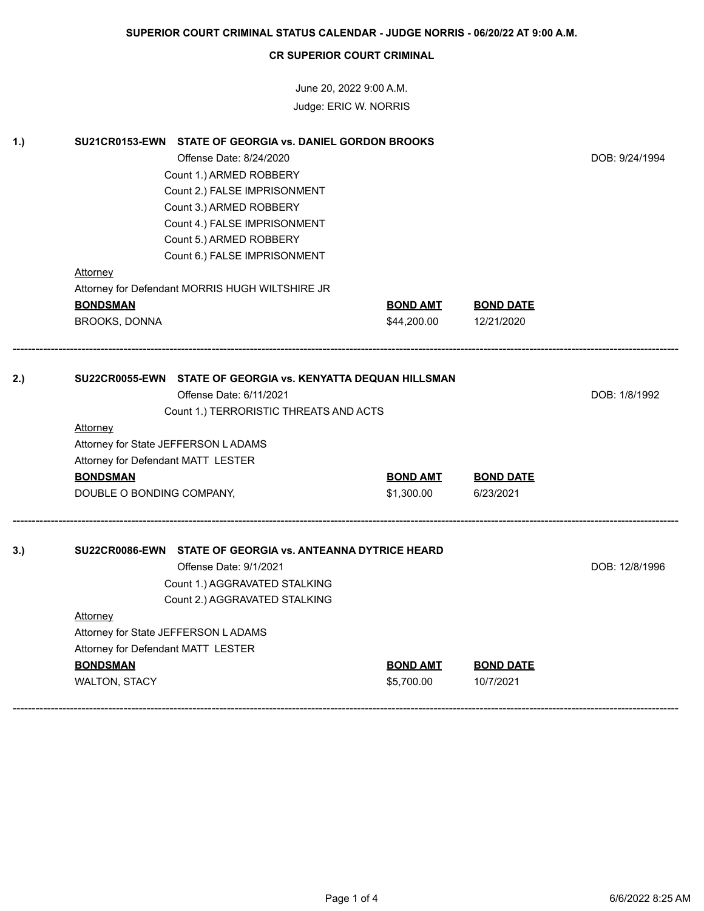June 20, 2022 9:00 A.M. Judge: ERIC W. NORRIS

| 1.) | SU21CR0153-EWN STATE OF GEORGIA vs. DANIEL GORDON BROOKS     |                 |                  |                |
|-----|--------------------------------------------------------------|-----------------|------------------|----------------|
|     | Offense Date: 8/24/2020                                      |                 |                  | DOB: 9/24/1994 |
|     | Count 1.) ARMED ROBBERY                                      |                 |                  |                |
|     | Count 2.) FALSE IMPRISONMENT                                 |                 |                  |                |
|     | Count 3.) ARMED ROBBERY                                      |                 |                  |                |
|     | Count 4.) FALSE IMPRISONMENT                                 |                 |                  |                |
|     | Count 5.) ARMED ROBBERY                                      |                 |                  |                |
|     | Count 6.) FALSE IMPRISONMENT                                 |                 |                  |                |
|     | <b>Attorney</b>                                              |                 |                  |                |
|     | Attorney for Defendant MORRIS HUGH WILTSHIRE JR              |                 |                  |                |
|     | <b>BONDSMAN</b>                                              | <b>BOND AMT</b> | <b>BOND DATE</b> |                |
|     | <b>BROOKS, DONNA</b>                                         | \$44,200.00     | 12/21/2020       |                |
|     |                                                              |                 |                  |                |
| 2.) | SU22CR0055-EWN STATE OF GEORGIA vs. KENYATTA DEQUAN HILLSMAN |                 |                  |                |
|     | Offense Date: 6/11/2021                                      |                 |                  | DOB: 1/8/1992  |
|     | Count 1.) TERRORISTIC THREATS AND ACTS                       |                 |                  |                |
|     | Attorney                                                     |                 |                  |                |
|     | Attorney for State JEFFERSON LADAMS                          |                 |                  |                |
|     | Attorney for Defendant MATT LESTER                           |                 |                  |                |
|     | <b>BONDSMAN</b>                                              | <b>BOND AMT</b> | <b>BOND DATE</b> |                |
|     | DOUBLE O BONDING COMPANY,                                    | \$1,300.00      | 6/23/2021        |                |
| 3.) | SU22CR0086-EWN STATE OF GEORGIA vs. ANTEANNA DYTRICE HEARD   |                 |                  |                |
|     | Offense Date: 9/1/2021                                       |                 |                  | DOB: 12/8/1996 |
|     | Count 1.) AGGRAVATED STALKING                                |                 |                  |                |
|     | Count 2.) AGGRAVATED STALKING                                |                 |                  |                |
|     | Attorney                                                     |                 |                  |                |
|     | Attorney for State JEFFERSON LADAMS                          |                 |                  |                |
|     | Attorney for Defendant MATT LESTER                           |                 |                  |                |
|     | <b>BONDSMAN</b>                                              | <b>BOND AMT</b> | <b>BOND DATE</b> |                |
|     | <b>WALTON, STACY</b>                                         | \$5,700.00      | 10/7/2021        |                |
|     |                                                              |                 |                  |                |
|     |                                                              |                 |                  |                |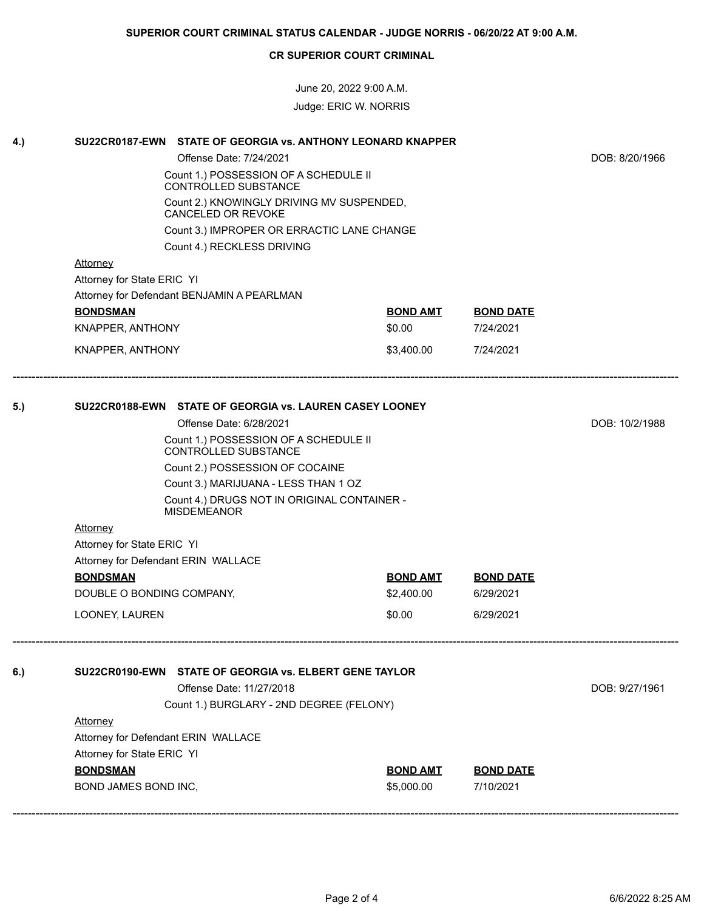June 20, 2022 9:00 A.M. Judge: ERIC W. NORRIS

| 4.) | SU22CR0187-EWN STATE OF GEORGIA vs. ANTHONY LEONARD KNAPPER            |                 |                  |  |
|-----|------------------------------------------------------------------------|-----------------|------------------|--|
|     | Offense Date: 7/24/2021                                                | DOB: 8/20/1966  |                  |  |
|     | Count 1.) POSSESSION OF A SCHEDULE II<br>CONTROLLED SUBSTANCE          |                 |                  |  |
|     | Count 2.) KNOWINGLY DRIVING MV SUSPENDED,<br><b>CANCELED OR REVOKE</b> |                 |                  |  |
|     | Count 3.) IMPROPER OR ERRACTIC LANE CHANGE                             |                 |                  |  |
|     | Count 4.) RECKLESS DRIVING                                             |                 |                  |  |
|     | Attorney                                                               |                 |                  |  |
|     | Attorney for State ERIC YI                                             |                 |                  |  |
|     | Attorney for Defendant BENJAMIN A PEARLMAN                             |                 |                  |  |
|     | <b>BONDSMAN</b>                                                        | <b>BOND AMT</b> | <b>BOND DATE</b> |  |
|     | KNAPPER, ANTHONY                                                       | \$0.00          | 7/24/2021        |  |
|     | KNAPPER, ANTHONY                                                       | \$3,400.00      | 7/24/2021        |  |
| 5.) | SU22CR0188-EWN STATE OF GEORGIA vs. LAUREN CASEY LOONEY                |                 |                  |  |
|     | Offense Date: 6/28/2021                                                | DOB: 10/2/1988  |                  |  |
|     | Count 1.) POSSESSION OF A SCHEDULE II<br>CONTRÓLLED SUBSTANCE          |                 |                  |  |
|     | Count 2.) POSSESSION OF COCAINE                                        |                 |                  |  |
|     | Count 3.) MARIJUANA - LESS THAN 1 OZ                                   |                 |                  |  |
|     | Count 4.) DRUGS NOT IN ORIGINAL CONTAINER -<br><b>MISDEMEANOR</b>      |                 |                  |  |
|     | <b>Attorney</b>                                                        |                 |                  |  |
|     | Attorney for State ERIC YI                                             |                 |                  |  |
|     | Attorney for Defendant ERIN WALLACE                                    |                 |                  |  |
|     | <b>BONDSMAN</b>                                                        | <b>BOND AMT</b> | <b>BOND DATE</b> |  |
|     | DOUBLE O BONDING COMPANY,                                              | \$2,400.00      | 6/29/2021        |  |
|     | LOONEY, LAUREN                                                         | \$0.00          | 6/29/2021        |  |
|     |                                                                        |                 |                  |  |
| 6.) | SU22CR0190-EWN STATE OF GEORGIA vs. ELBERT GENE TAYLOR                 |                 |                  |  |
|     | Offense Date: 11/27/2018                                               | DOB: 9/27/1961  |                  |  |
|     | Count 1.) BURGLARY - 2ND DEGREE (FELONY)                               |                 |                  |  |
|     | <b>Attorney</b>                                                        |                 |                  |  |
|     | Attorney for Defendant ERIN WALLACE                                    |                 |                  |  |
|     | Attorney for State ERIC YI                                             |                 |                  |  |
|     | <b>BONDSMAN</b>                                                        | <b>BOND AMT</b> | <b>BOND DATE</b> |  |
|     | BOND JAMES BOND INC,                                                   | \$5,000.00      | 7/10/2021        |  |
|     |                                                                        |                 |                  |  |

------------------------------------------------------------------------------------------------------------------------------------------------------------------------------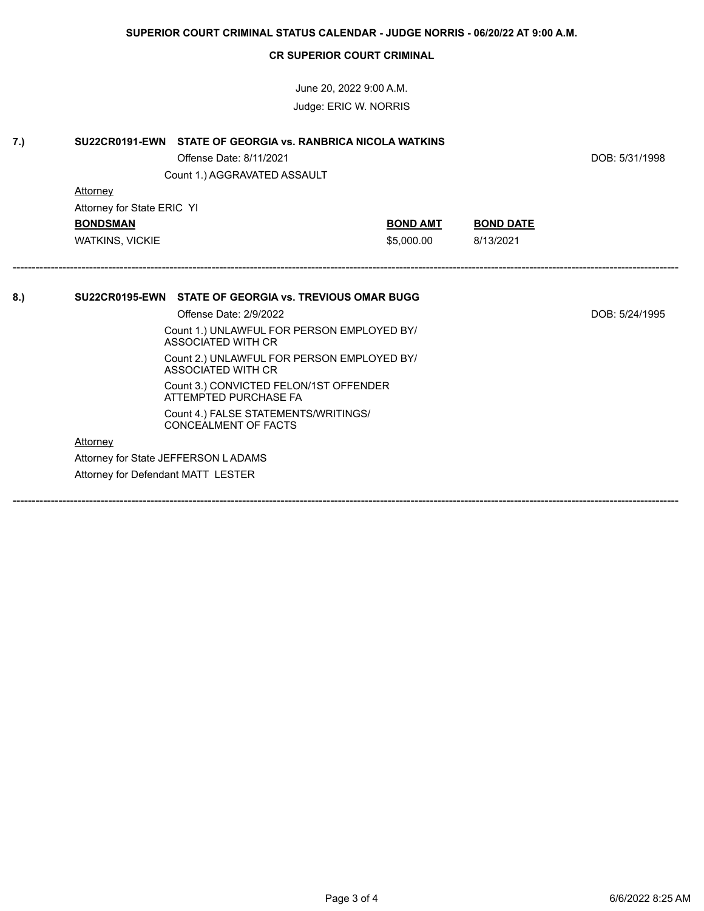June 20, 2022 9:00 A.M. Judge: ERIC W. NORRIS

| 7.) | SU22CR0191-EWN STATE OF GEORGIA vs. RANBRICA NICOLA WATKINS<br>Offense Date: 8/11/2021<br>Count 1.) AGGRAVATED ASSAULT |                 |                  | DOB: 5/31/1998 |
|-----|------------------------------------------------------------------------------------------------------------------------|-----------------|------------------|----------------|
|     | <b>Attorney</b>                                                                                                        |                 |                  |                |
|     | Attorney for State ERIC YI                                                                                             |                 |                  |                |
|     | <b>BONDSMAN</b>                                                                                                        | <b>BOND AMT</b> | <b>BOND DATE</b> |                |
|     | <b>WATKINS, VICKIE</b>                                                                                                 | \$5,000.00      | 8/13/2021        |                |
| 8.  | SU22CR0195-EWN STATE OF GEORGIA vs. TREVIOUS OMAR BUGG                                                                 |                 |                  |                |
|     | Offense Date: 2/9/2022                                                                                                 |                 |                  | DOB: 5/24/1995 |
|     | Count 1.) UNLAWFUL FOR PERSON EMPLOYED BY/<br>ASSOCIATED WITH CR                                                       |                 |                  |                |
|     | Count 2.) UNLAWFUL FOR PERSON EMPLOYED BY/<br>ASSOCIATED WITH CR                                                       |                 |                  |                |
|     | Count 3.) CONVICTED FELON/1ST OFFENDER<br>ATTEMPTED PURCHASE FA                                                        |                 |                  |                |
|     | Count 4.) FALSE STATEMENTS/WRITINGS/<br>CONCEALMENT OF FACTS                                                           |                 |                  |                |
|     | Attorney                                                                                                               |                 |                  |                |
|     | Attorney for State JEFFERSON LADAMS                                                                                    |                 |                  |                |
|     | Attorney for Defendant MATT LESTER                                                                                     |                 |                  |                |
|     |                                                                                                                        |                 |                  |                |